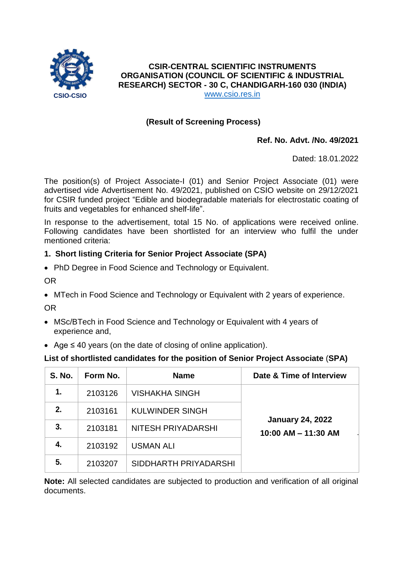

**CSIR-CENTRAL SCIENTIFIC INSTRUMENTS ORGANISATION (COUNCIL OF SCIENTIFIC & INDUSTRIAL RESEARCH) SECTOR - 30 C, CHANDIGARH-160 030 (INDIA)** [www.csio.res.in](http://www.csio.res.in/)

### **(Result of Screening Process)**

#### **Ref. No. Advt. /No. 49/2021**

Dated: 18.01.2022

The position(s) of Project Associate-I (01) and Senior Project Associate (01) were advertised vide Advertisement No. 49/2021, published on CSIO website on 29/12/2021 for CSIR funded project "Edible and biodegradable materials for electrostatic coating of fruits and vegetables for enhanced shelf-life".

In response to the advertisement, total 15 No. of applications were received online. Following candidates have been shortlisted for an interview who fulfil the under mentioned criteria:

### **1. Short listing Criteria for Senior Project Associate (SPA)**

• PhD Degree in Food Science and Technology or Equivalent.

OR

MTech in Food Science and Technology or Equivalent with 2 years of experience.

OR

- MSc/BTech in Food Science and Technology or Equivalent with 4 years of experience and,
- Age ≤ 40 years (on the date of closing of online application).

## **List of shortlisted candidates for the position of Senior Project Associate** (**SPA)**

| <b>S. No.</b> | Form No. | <b>Name</b>           | Date & Time of Interview                           |
|---------------|----------|-----------------------|----------------------------------------------------|
| 1.            | 2103126  | <b>VISHAKHA SINGH</b> | <b>January 24, 2022</b><br>$10:00$ AM $- 11:30$ AM |
| 2.            | 2103161  | KULWINDER SINGH       |                                                    |
| 3.            | 2103181  | NITESH PRIYADARSHI    |                                                    |
| 4.            | 2103192  | <b>USMAN ALI</b>      |                                                    |
| 5.            | 2103207  | SIDDHARTH PRIYADARSHI |                                                    |

**Note:** All selected candidates are subjected to production and verification of all original documents.